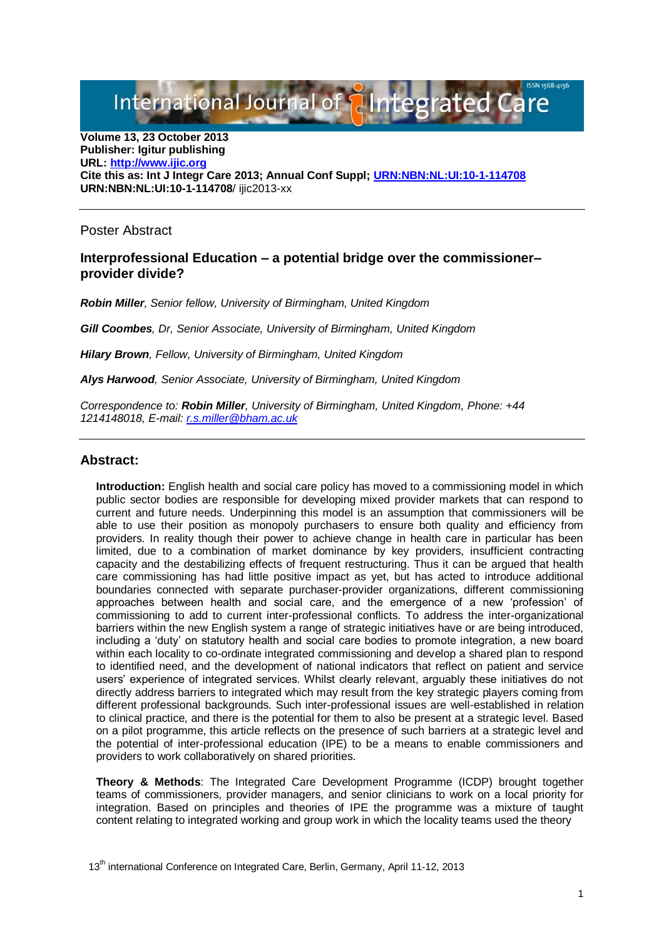International Journal of **Paintegrated C** 

**Volume 13, 23 October 2013 Publisher: Igitur publishing URL[: http://www.ijic.org](http://www.ijic.org/) Cite this as: Int J Integr Care 2013; Annual Conf Suppl; [URN:NBN:NL:UI:10-1-114708](http://persistent-identifier.nl/?identifier=URN:NBN:NL:UI:10-1-114708) URN:NBN:NL:UI:10-1-114708**/ ijic2013-xx

Poster Abstract

## **Interprofessional Education – a potential bridge over the commissioner– provider divide?**

*Robin Miller, Senior fellow, University of Birmingham, United Kingdom*

*Gill Coombes, Dr, Senior Associate, University of Birmingham, United Kingdom* 

*Hilary Brown, Fellow, University of Birmingham, United Kingdom*

*Alys Harwood, Senior Associate, University of Birmingham, United Kingdom*

*Correspondence to: Robin Miller, University of Birmingham, United Kingdom, Phone: +44 1214148018, E-mail: [r.s.miller@bham.ac.uk](mailto:r.s.miller@bham.ac.uk)*

## **Abstract:**

**Introduction:** English health and social care policy has moved to a commissioning model in which public sector bodies are responsible for developing mixed provider markets that can respond to current and future needs. Underpinning this model is an assumption that commissioners will be able to use their position as monopoly purchasers to ensure both quality and efficiency from providers. In reality though their power to achieve change in health care in particular has been limited, due to a combination of market dominance by key providers, insufficient contracting capacity and the destabilizing effects of frequent restructuring. Thus it can be argued that health care commissioning has had little positive impact as yet, but has acted to introduce additional boundaries connected with separate purchaser-provider organizations, different commissioning approaches between health and social care, and the emergence of a new 'profession' of commissioning to add to current inter-professional conflicts. To address the inter-organizational barriers within the new English system a range of strategic initiatives have or are being introduced, including a 'duty' on statutory health and social care bodies to promote integration, a new board within each locality to co-ordinate integrated commissioning and develop a shared plan to respond to identified need, and the development of national indicators that reflect on patient and service users' experience of integrated services. Whilst clearly relevant, arguably these initiatives do not directly address barriers to integrated which may result from the key strategic players coming from different professional backgrounds. Such inter-professional issues are well-established in relation to clinical practice, and there is the potential for them to also be present at a strategic level. Based on a pilot programme, this article reflects on the presence of such barriers at a strategic level and the potential of inter-professional education (IPE) to be a means to enable commissioners and providers to work collaboratively on shared priorities.

**Theory & Methods**: The Integrated Care Development Programme (ICDP) brought together teams of commissioners, provider managers, and senior clinicians to work on a local priority for integration. Based on principles and theories of IPE the programme was a mixture of taught content relating to integrated working and group work in which the locality teams used the theory

13<sup>th</sup> international Conference on Integrated Care, Berlin, Germany, April 11-12, 2013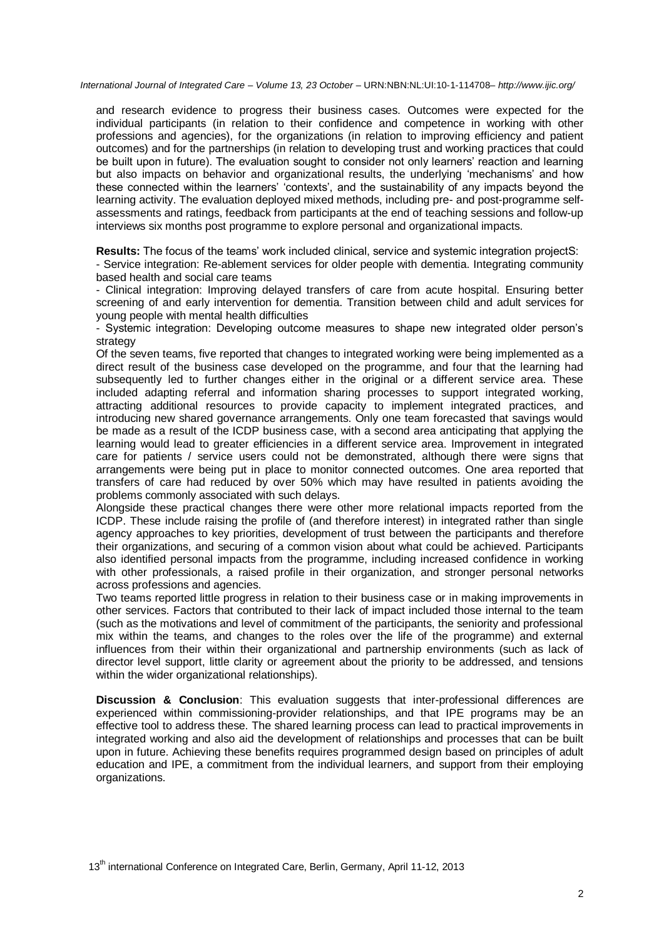*International Journal of Integrated Care – Volume 13, 23 October –* URN:NBN:NL:UI:10-1-114708*– http://www.ijic.org/*

and research evidence to progress their business cases. Outcomes were expected for the individual participants (in relation to their confidence and competence in working with other professions and agencies), for the organizations (in relation to improving efficiency and patient outcomes) and for the partnerships (in relation to developing trust and working practices that could be built upon in future). The evaluation sought to consider not only learners' reaction and learning but also impacts on behavior and organizational results, the underlying 'mechanisms' and how these connected within the learners' 'contexts', and the sustainability of any impacts beyond the learning activity. The evaluation deployed mixed methods, including pre- and post-programme selfassessments and ratings, feedback from participants at the end of teaching sessions and follow-up interviews six months post programme to explore personal and organizational impacts.

**Results:** The focus of the teams' work included clinical, service and systemic integration projectS:

- Service integration: Re-ablement services for older people with dementia. Integrating community based health and social care teams

- Clinical integration: Improving delayed transfers of care from acute hospital. Ensuring better screening of and early intervention for dementia. Transition between child and adult services for young people with mental health difficulties

- Systemic integration: Developing outcome measures to shape new integrated older person's strategy

Of the seven teams, five reported that changes to integrated working were being implemented as a direct result of the business case developed on the programme, and four that the learning had subsequently led to further changes either in the original or a different service area. These included adapting referral and information sharing processes to support integrated working, attracting additional resources to provide capacity to implement integrated practices, and introducing new shared governance arrangements. Only one team forecasted that savings would be made as a result of the ICDP business case, with a second area anticipating that applying the learning would lead to greater efficiencies in a different service area. Improvement in integrated care for patients / service users could not be demonstrated, although there were signs that arrangements were being put in place to monitor connected outcomes. One area reported that transfers of care had reduced by over 50% which may have resulted in patients avoiding the problems commonly associated with such delays.

Alongside these practical changes there were other more relational impacts reported from the ICDP. These include raising the profile of (and therefore interest) in integrated rather than single agency approaches to key priorities, development of trust between the participants and therefore their organizations, and securing of a common vision about what could be achieved. Participants also identified personal impacts from the programme, including increased confidence in working with other professionals, a raised profile in their organization, and stronger personal networks across professions and agencies.

Two teams reported little progress in relation to their business case or in making improvements in other services. Factors that contributed to their lack of impact included those internal to the team (such as the motivations and level of commitment of the participants, the seniority and professional mix within the teams, and changes to the roles over the life of the programme) and external influences from their within their organizational and partnership environments (such as lack of director level support, little clarity or agreement about the priority to be addressed, and tensions within the wider organizational relationships).

**Discussion & Conclusion**: This evaluation suggests that inter-professional differences are experienced within commissioning-provider relationships, and that IPE programs may be an effective tool to address these. The shared learning process can lead to practical improvements in integrated working and also aid the development of relationships and processes that can be built upon in future. Achieving these benefits requires programmed design based on principles of adult education and IPE, a commitment from the individual learners, and support from their employing organizations.

13<sup>th</sup> international Conference on Integrated Care, Berlin, Germany, April 11-12, 2013